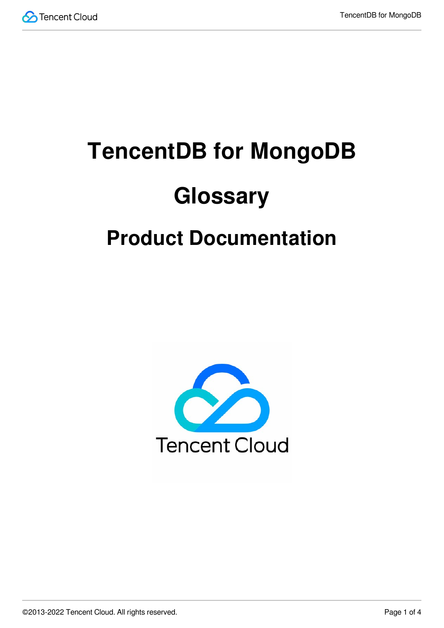

# **TencentDB for MongoDB Glossary Product Documentation**

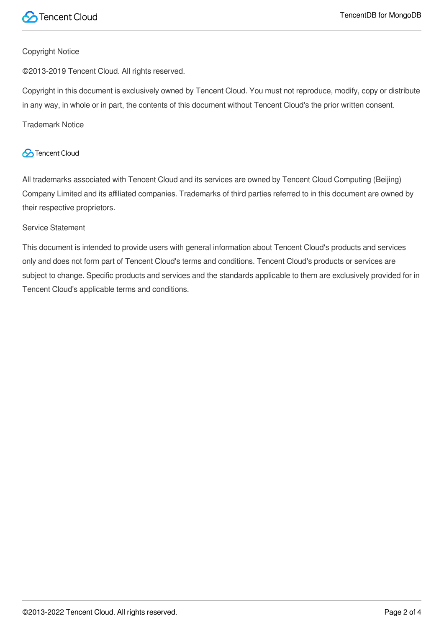

#### Copyright Notice

©2013-2019 Tencent Cloud. All rights reserved.

Copyright in this document is exclusively owned by Tencent Cloud. You must not reproduce, modify, copy or distribute in any way, in whole or in part, the contents of this document without Tencent Cloud's the prior written consent.

Trademark Notice

#### **C** Tencent Cloud

All trademarks associated with Tencent Cloud and its services are owned by Tencent Cloud Computing (Beijing) Company Limited and its affiliated companies. Trademarks of third parties referred to in this document are owned by their respective proprietors.

#### Service Statement

This document is intended to provide users with general information about Tencent Cloud's products and services only and does not form part of Tencent Cloud's terms and conditions. Tencent Cloud's products or services are subject to change. Specific products and services and the standards applicable to them are exclusively provided for in Tencent Cloud's applicable terms and conditions.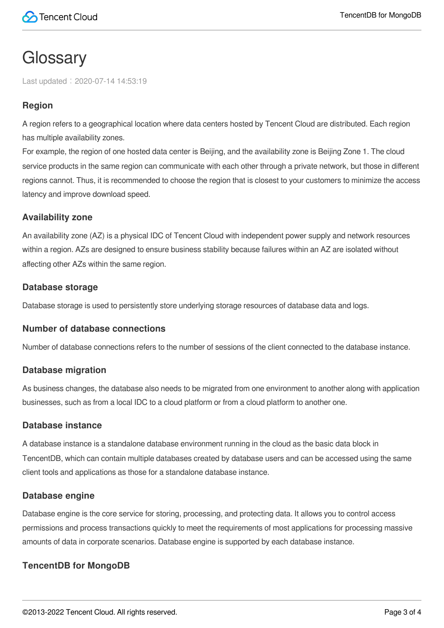# **Glossary**

Last updated:2020-07-14 14:53:19

## **Region**

A region refers to a geographical location where data centers hosted by Tencent Cloud are distributed. Each region has multiple availability zones.

For example, the region of one hosted data center is Beijing, and the availability zone is Beijing Zone 1. The cloud service products in the same region can communicate with each other through a private network, but those in different regions cannot. Thus, it is recommended to choose the region that is closest to your customers to minimize the access latency and improve download speed.

#### **Availability zone**

An availability zone (AZ) is a physical IDC of Tencent Cloud with independent power supply and network resources within a region. AZs are designed to ensure business stability because failures within an AZ are isolated without affecting other AZs within the same region.

#### **Database storage**

Database storage is used to persistently store underlying storage resources of database data and logs.

#### **Number of database connections**

Number of database connections refers to the number of sessions of the client connected to the database instance.

#### **Database migration**

As business changes, the database also needs to be migrated from one environment to another along with application businesses, such as from a local IDC to a cloud platform or from a cloud platform to another one.

#### **Database instance**

A database instance is a standalone database environment running in the cloud as the basic data block in TencentDB, which can contain multiple databases created by database users and can be accessed using the same client tools and applications as those for a standalone database instance.

#### **Database engine**

Database engine is the core service for storing, processing, and protecting data. It allows you to control access permissions and process transactions quickly to meet the requirements of most applications for processing massive amounts of data in corporate scenarios. Database engine is supported by each database instance.

### **TencentDB for MongoDB**